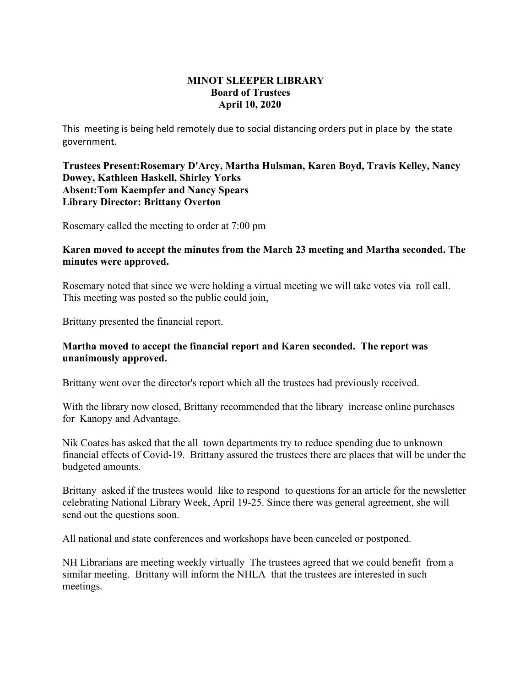## **MINOT SLEEPER LIBRARY Board of Trustees April 10, 2020**

This meeting is being held remotely due to social distancing orders put in place by the state government.

**Trustees Present:Rosemary D'Arcy, Martha Hulsman, Karen Boyd, Travis Kelley, Nancy Dowey, Kathleen Haskell, Shirley Yorks Absent:Tom Kaempfer and Nancy Spears Library Director: Brittany Overton** 

Rosemary called the meeting to order at 7:00 pm

## **Karen moved to accept the minutes from the March 23 meeting and Martha seconded. The minutes were approved.**

Rosemary noted that since we were holding a virtual meeting we will take votes via roll call. This meeting was posted so the public could join,

Brittany presented the financial report.

## **Martha moved to accept the financial report and Karen seconded. The report was unanimously approved.**

Brittany went over the director's report which all the trustees had previously received.

With the library now closed, Brittany recommended that the library increase online purchases for Kanopy and Advantage.

Nik Coates has asked that the all town departments try to reduce spending due to unknown financial effects of Covid-19. Brittany assured the trustees there are places that will be under the budgeted amounts.

Brittany asked if the trustees would like to respond to questions for an article for the newsletter celebrating National Library Week, April 19-25. Since there was general agreement, she will send out the questions soon.

All national and state conferences and workshops have been canceled or postponed.

NH Librarians are meeting weekly virtually The trustees agreed that we could benefit from a similar meeting. Brittany will inform the NHLA that the trustees are interested in such meetings.